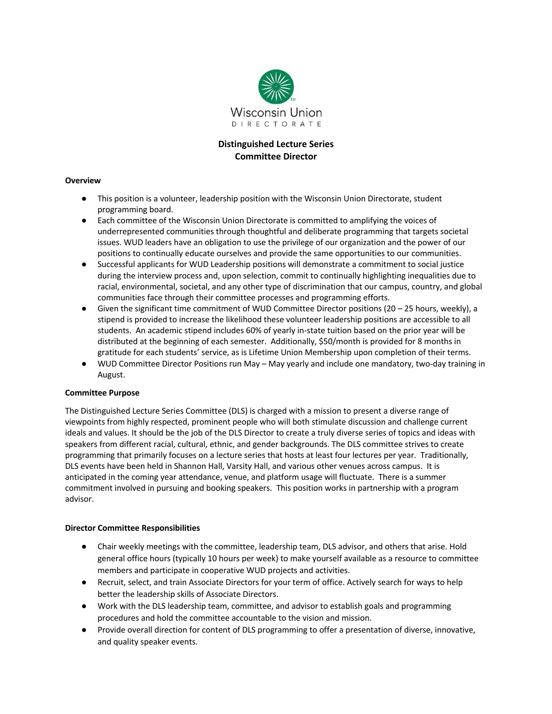

# **Distinguished Lecture Series Committee Director**

### **Overview**

- This position is a volunteer, leadership position with the Wisconsin Union Directorate, student programming board.
- Each committee of the Wisconsin Union Directorate is committed to amplifying the voices of underrepresented communities through thoughtful and deliberate programming that targets societal issues. WUD leaders have an obligation to use the privilege of our organization and the power of our positions to continually educate ourselves and provide the same opportunities to our communities.
- Successful applicants for WUD Leadership positions will demonstrate a commitment to social justice during the interview process and, upon selection, commit to continually highlighting inequalities due to racial, environmental, societal, and any other type of discrimination that our campus, country, and global communities face through their committee processes and programming efforts.
- $\bullet$  Given the significant time commitment of WUD Committee Director positions (20 25 hours, weekly), a stipend is provided to increase the likelihood these volunteer leadership positions are accessible to all students. An academic stipend includes 60% of yearly in-state tuition based on the prior year will be distributed at the beginning of each semester. Additionally, \$50/month is provided for 8 months in gratitude for each students' service, as is Lifetime Union Membership upon completion of their terms.
- WUD Committee Director Positions run May May yearly and include one mandatory, two-day training in August.

### **Committee Purpose**

The Distinguished Lecture Series Committee (DLS) is charged with a mission to present a diverse range of viewpoints from highly respected, prominent people who will both stimulate discussion and challenge current ideals and values. It should be the job of the DLS Director to create a truly diverse series of topics and ideas with speakers from different racial, cultural, ethnic, and gender backgrounds. The DLS committee strives to create programming that primarily focuses on a lecture series that hosts at least four lectures per year. Traditionally, DLS events have been held in Shannon Hall, Varsity Hall, and various other venues across campus. It is anticipated in the coming year attendance, venue, and platform usage will fluctuate. There is a summer commitment involved in pursuing and booking speakers. This position works in partnership with a program advisor.

#### **Director Committee Responsibilities**

- Chair weekly meetings with the committee, leadership team, DLS advisor, and others that arise. Hold general office hours (typically 10 hours per week) to make yourself available as a resource to committee members and participate in cooperative WUD projects and activities.
- Recruit, select, and train Associate Directors for your term of office. Actively search for ways to help better the leadership skills of Associate Directors.
- Work with the DLS leadership team, committee, and advisor to establish goals and programming procedures and hold the committee accountable to the vision and mission.
- Provide overall direction for content of DLS programming to offer a presentation of diverse, innovative, and quality speaker events.